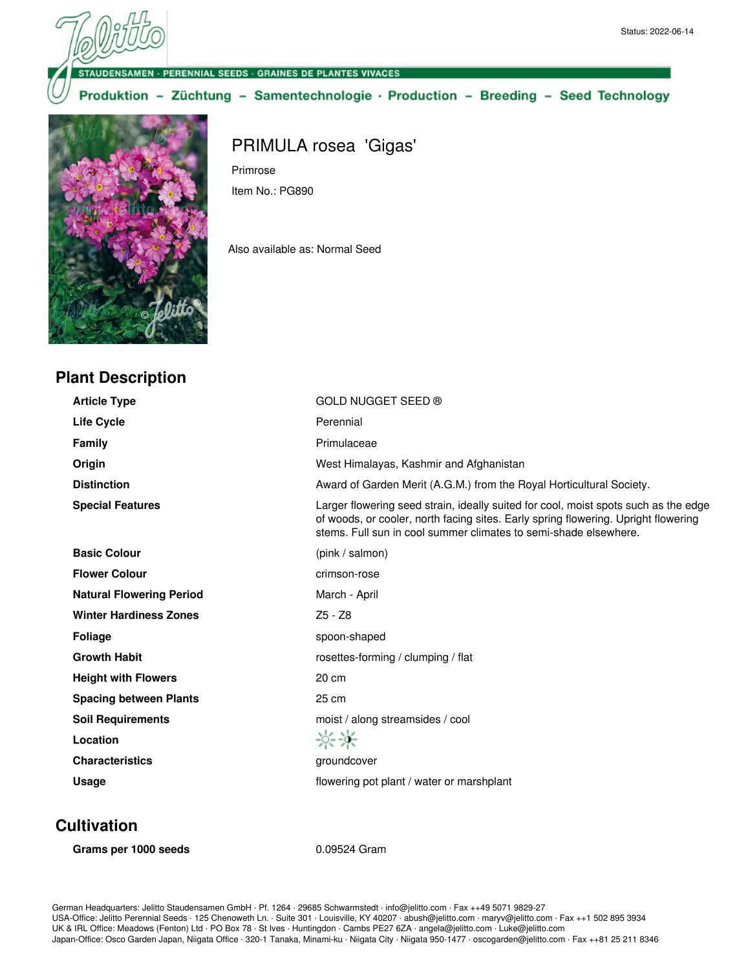**NSAMEN - PERENNIAL SEEDS - GRAINES DE PLANTES VIVACES** 

Primrose

Item No.: PG890

Produktion - Züchtung - Samentechnologie · Production - Breeding - Seed Technology

PRIMULA rosea 'Gigas'

Also available as: Normal Seed



#### **Plant Description**

**Article Type** GOLD NUGGET SEED ® Life Cycle **Cycle Perennial Family Primulaceae Origin Origin** West Himalayas, Kashmir and Afghanistan **Distinction Award of Garden Merit (A.G.M.) from the Royal Horticultural Society. Special Features** Larger flowering seed strain, ideally suited for cool, moist spots such as the edge of woods, or cooler, north facing sites. Early spring flowering. Upright flowering stems. Full sun in cool summer climates to semi-shade elsewhere. **Basic Colour** (pink / salmon) **Flower Colour** crimson-rose **Natural Flowering Period** March - April Winter Hardiness Zones<br>
Z5 - Z8 **Foliage** spoon-shaped **Growth Habit Growth Habit rosettes-forming / clumping / flat Height with Flowers** 20 cm **Spacing between Plants** 25 cm **Soil Requirements** moist / along streamsides / cool  $\frac{1}{2}$ **Location Characteristics Groundcover groundcover Usage discription in the same of the same of the same of plant** / water or marshplant

# **Cultivation**

**Grams per 1000 seeds** 0.09524 Gram